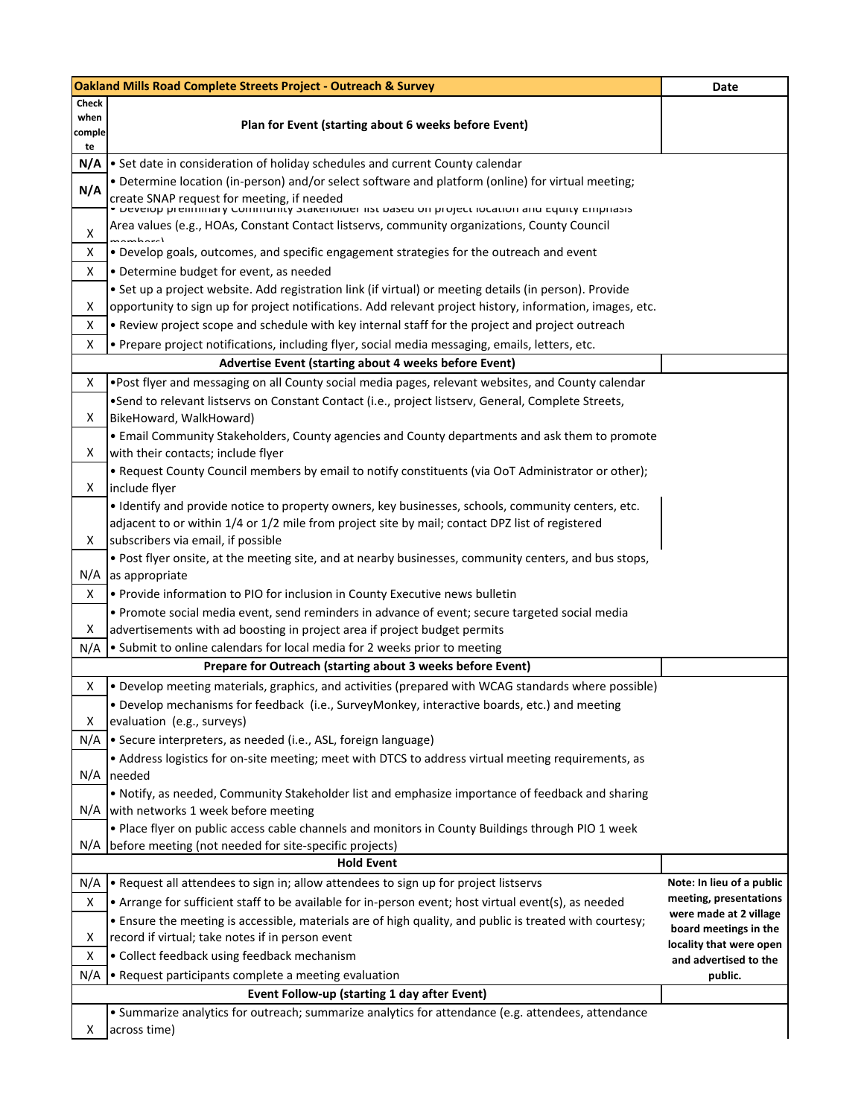| <b>Oakland Mills Road Complete Streets Project - Outreach &amp; Survey</b> | Date                                                                                                                                                                                                                                                             |                                                  |
|----------------------------------------------------------------------------|------------------------------------------------------------------------------------------------------------------------------------------------------------------------------------------------------------------------------------------------------------------|--------------------------------------------------|
| Check<br>when<br>comple<br>te                                              | Plan for Event (starting about 6 weeks before Event)                                                                                                                                                                                                             |                                                  |
| N/A                                                                        | Set date in consideration of holiday schedules and current County calendar                                                                                                                                                                                       |                                                  |
| N/A                                                                        | . Determine location (in-person) and/or select software and platform (online) for virtual meeting;<br>create SNAP request for meeting, if needed<br>• มะงะเบิน premininary community วันสิ่งสายเนียก แว่ต้องอยู่ บท project เบินสิเนียก สาน อนุนิเญ อีกมุกเสิวเจ |                                                  |
| x                                                                          | Area values (e.g., HOAs, Constant Contact listservs, community organizations, County Council                                                                                                                                                                     |                                                  |
| x<br>X                                                                     | . Develop goals, outcomes, and specific engagement strategies for the outreach and event<br>• Determine budget for event, as needed                                                                                                                              |                                                  |
|                                                                            | • Set up a project website. Add registration link (if virtual) or meeting details (in person). Provide                                                                                                                                                           |                                                  |
| X                                                                          | opportunity to sign up for project notifications. Add relevant project history, information, images, etc.                                                                                                                                                        |                                                  |
| X                                                                          | . Review project scope and schedule with key internal staff for the project and project outreach                                                                                                                                                                 |                                                  |
|                                                                            |                                                                                                                                                                                                                                                                  |                                                  |
| X                                                                          | . Prepare project notifications, including flyer, social media messaging, emails, letters, etc.                                                                                                                                                                  |                                                  |
|                                                                            | Advertise Event (starting about 4 weeks before Event)                                                                                                                                                                                                            |                                                  |
| X                                                                          | •Post flyer and messaging on all County social media pages, relevant websites, and County calendar                                                                                                                                                               |                                                  |
| X                                                                          | •Send to relevant listservs on Constant Contact (i.e., project listserv, General, Complete Streets,<br>BikeHoward, WalkHoward)                                                                                                                                   |                                                  |
| X                                                                          | . Email Community Stakeholders, County agencies and County departments and ask them to promote<br>with their contacts; include flyer                                                                                                                             |                                                  |
|                                                                            | . Request County Council members by email to notify constituents (via OoT Administrator or other);                                                                                                                                                               |                                                  |
| X                                                                          | include flyer                                                                                                                                                                                                                                                    |                                                  |
| X                                                                          | . Identify and provide notice to property owners, key businesses, schools, community centers, etc.<br>adjacent to or within 1/4 or 1/2 mile from project site by mail; contact DPZ list of registered<br>subscribers via email, if possible                      |                                                  |
|                                                                            | . Post flyer onsite, at the meeting site, and at nearby businesses, community centers, and bus stops,                                                                                                                                                            |                                                  |
| N/A                                                                        | as appropriate                                                                                                                                                                                                                                                   |                                                  |
| X                                                                          | . Provide information to PIO for inclusion in County Executive news bulletin                                                                                                                                                                                     |                                                  |
|                                                                            | . Promote social media event, send reminders in advance of event; secure targeted social media                                                                                                                                                                   |                                                  |
| X                                                                          | advertisements with ad boosting in project area if project budget permits                                                                                                                                                                                        |                                                  |
| N/A                                                                        | • Submit to online calendars for local media for 2 weeks prior to meeting                                                                                                                                                                                        |                                                  |
|                                                                            | Prepare for Outreach (starting about 3 weeks before Event)                                                                                                                                                                                                       |                                                  |
| X                                                                          | . Develop meeting materials, graphics, and activities (prepared with WCAG standards where possible)                                                                                                                                                              |                                                  |
|                                                                            | . Develop mechanisms for feedback (i.e., SurveyMonkey, interactive boards, etc.) and meeting                                                                                                                                                                     |                                                  |
| х                                                                          | evaluation (e.g., surveys)                                                                                                                                                                                                                                       |                                                  |
| N/A                                                                        | • Secure interpreters, as needed (i.e., ASL, foreign language)                                                                                                                                                                                                   |                                                  |
|                                                                            | • Address logistics for on-site meeting; meet with DTCS to address virtual meeting requirements, as                                                                                                                                                              |                                                  |
|                                                                            | $N/A$ needed                                                                                                                                                                                                                                                     |                                                  |
|                                                                            | Notify, as needed, Community Stakeholder list and emphasize importance of feedback and sharing                                                                                                                                                                   |                                                  |
|                                                                            | N/A with networks 1 week before meeting                                                                                                                                                                                                                          |                                                  |
|                                                                            | . Place flyer on public access cable channels and monitors in County Buildings through PIO 1 week                                                                                                                                                                |                                                  |
| N/A                                                                        | before meeting (not needed for site-specific projects)                                                                                                                                                                                                           |                                                  |
|                                                                            | <b>Hold Event</b>                                                                                                                                                                                                                                                |                                                  |
| N/A                                                                        | . Request all attendees to sign in; allow attendees to sign up for project listservs                                                                                                                                                                             | Note: In lieu of a public                        |
| X                                                                          | • Arrange for sufficient staff to be available for in-person event; host virtual event(s), as needed                                                                                                                                                             | meeting, presentations<br>were made at 2 village |
|                                                                            | . Ensure the meeting is accessible, materials are of high quality, and public is treated with courtesy;                                                                                                                                                          | board meetings in the                            |
| х                                                                          | record if virtual; take notes if in person event                                                                                                                                                                                                                 | locality that were open                          |
| X                                                                          | • Collect feedback using feedback mechanism                                                                                                                                                                                                                      | and advertised to the                            |
| N/A                                                                        | • Request participants complete a meeting evaluation                                                                                                                                                                                                             | public.                                          |
|                                                                            | Event Follow-up (starting 1 day after Event)                                                                                                                                                                                                                     |                                                  |
|                                                                            | • Summarize analytics for outreach; summarize analytics for attendance (e.g. attendees, attendance                                                                                                                                                               |                                                  |
| x                                                                          | across time)                                                                                                                                                                                                                                                     |                                                  |